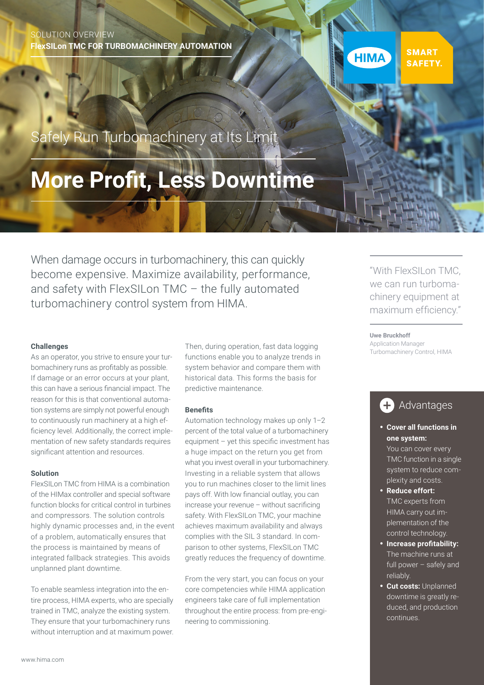### SOLUTION OVERVIEW **FlexSILon TMC FOR TURBOMACHINERY AUTOMATION**



Safely Run Turbomachinery at Its Limit

# **More Profit, Less Downtime**

When damage occurs in turbomachinery, this can quickly become expensive. Maximize availability, performance, and safety with FlexSILon TMC – the fully automated turbomachinery control system from HIMA.

As an operator, you strive to ensure your turbomachinery runs as profitably as possible. If damage or an error occurs at your plant, this can have a serious financial impact. The reason for this is that conventional automation systems are simply not powerful enough to continuously run machinery at a high efficiency level. Additionally, the correct implementation of new safety standards requires significant attention and resources.

#### **Solution**

FlexSILon TMC from HIMA is a combination of the HIMax controller and special software function blocks for critical control in turbines and compressors. The solution controls highly dynamic processes and, in the event of a problem, automatically ensures that the process is maintained by means of integrated fallback strategies. This avoids unplanned plant downtime.

To enable seamless integration into the entire process, HIMA experts, who are specially trained in TMC, analyze the existing system. They ensure that your turbomachinery runs without interruption and at maximum power.

**Challenges Challenges Challenges Exercise Control**, HIMA **Challenges Control**, HIMA **Control**, HIMA functions enable you to analyze trends in system behavior and compare them with historical data. This forms the basis for predictive maintenance.

#### **Benefits**

Automation technology makes up only 1–2 percent of the total value of a turbomachinery equipment – yet this specific investment has a huge impact on the return you get from what you invest overall in your turbomachinery. Investing in a reliable system that allows you to run machines closer to the limit lines pays off. With low financial outlay, you can increase your revenue – without sacrificing safety. With FlexSILon TMC, your machine achieves maximum availability and always complies with the SIL 3 standard. In comparison to other systems, FlexSILon TMC greatly reduces the frequency of downtime.

From the very start, you can focus on your core competencies while HIMA application engineers take care of full implementation throughout the entire process: from pre-engineering to commissioning.

"With FlexSILon TMC, we can run turbomachinery equipment at maximum efficiency."

#### **Uwe Bruckhoff**

Application Manager<br>Turbomachinery Control, HIMA

## **A** Advantages

### • **Cover all functions in one system:**

You can cover every TMC function in a single system to reduce complexity and costs.

- **Reduce effort:**  TMC experts from HIMA carry out implementation of the control technology.
- **Increase profitability:**  The machine runs at full power – safely and reliably.
- **Cut costs:** Unplanned downtime is greatly reduced, and production continues.